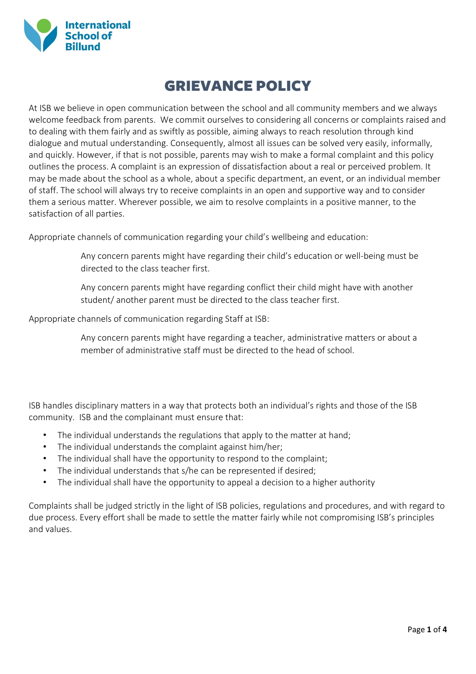

## GRIEVANCE POLICY

At ISB we believe in open communication between the school and all community members and we always welcome feedback from parents. We commit ourselves to considering all concerns or complaints raised and to dealing with them fairly and as swiftly as possible, aiming always to reach resolution through kind dialogue and mutual understanding. Consequently, almost all issues can be solved very easily, informally, and quickly. However, if that is not possible, parents may wish to make a formal complaint and this policy outlines the process. A complaint is an expression of dissatisfaction about a real or perceived problem. It may be made about the school as a whole, about a specific department, an event, or an individual member of staff. The school will always try to receive complaints in an open and supportive way and to consider them a serious matter. Wherever possible, we aim to resolve complaints in a positive manner, to the satisfaction of all parties.

Appropriate channels of communication regarding your child's wellbeing and education:

- Any concern parents might have regarding their child's education or well-being must be directed to the class teacher first.
- Any concern parents might have regarding conflict their child might have with another student/ another parent must be directed to the class teacher first.

Appropriate channels of communication regarding Staff at ISB:

Any concern parents might have regarding a teacher, administrative matters or about a member of administrative staff must be directed to the head of school.

ISB handles disciplinary matters in a way that protects both an individual's rights and those of the ISB community. ISB and the complainant must ensure that:

- The individual understands the regulations that apply to the matter at hand;
- The individual understands the complaint against him/her;
- The individual shall have the opportunity to respond to the complaint;
- The individual understands that s/he can be represented if desired;
- The individual shall have the opportunity to appeal a decision to a higher authority

Complaints shall be judged strictly in the light of ISB policies, regulations and procedures, and with regard to due process. Every effort shall be made to settle the matter fairly while not compromising ISB's principles and values.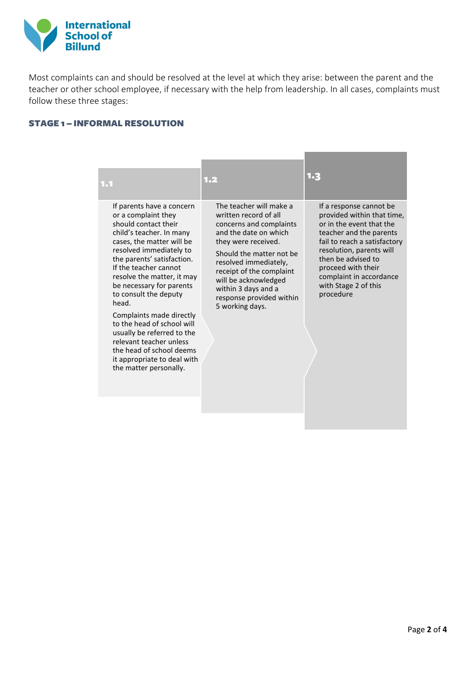

Most complaints can and should be resolved at the level at which they arise: between the parent and the teacher or other school employee, if necessary with the help from leadership. In all cases, complaints must follow these three stages:

## STAGE 1 – INFORMAL RESOLUTION

| 1.1                                                                                                                                                                                                                                                                                                                                                                                                                                                                                                                     | 1.2                                                                                                                                                                                                                                                                                                        | 1.3                                                                                                                                                                                                                                                                                  |
|-------------------------------------------------------------------------------------------------------------------------------------------------------------------------------------------------------------------------------------------------------------------------------------------------------------------------------------------------------------------------------------------------------------------------------------------------------------------------------------------------------------------------|------------------------------------------------------------------------------------------------------------------------------------------------------------------------------------------------------------------------------------------------------------------------------------------------------------|--------------------------------------------------------------------------------------------------------------------------------------------------------------------------------------------------------------------------------------------------------------------------------------|
| If parents have a concern<br>or a complaint they<br>should contact their<br>child's teacher. In many<br>cases, the matter will be<br>resolved immediately to<br>the parents' satisfaction.<br>If the teacher cannot<br>resolve the matter, it may<br>be necessary for parents<br>to consult the deputy<br>head.<br>Complaints made directly<br>to the head of school will<br>usually be referred to the<br>relevant teacher unless<br>the head of school deems<br>it appropriate to deal with<br>the matter personally. | The teacher will make a<br>written record of all<br>concerns and complaints<br>and the date on which<br>they were received.<br>Should the matter not be<br>resolved immediately,<br>receipt of the complaint<br>will be acknowledged<br>within 3 days and a<br>response provided within<br>5 working days. | If a response cannot be<br>provided within that time,<br>or in the event that the<br>teacher and the parents<br>fail to reach a satisfactory<br>resolution, parents will<br>then be advised to<br>proceed with their<br>complaint in accordance<br>with Stage 2 of this<br>procedure |
|                                                                                                                                                                                                                                                                                                                                                                                                                                                                                                                         |                                                                                                                                                                                                                                                                                                            |                                                                                                                                                                                                                                                                                      |

and the control of the control of the control of the control of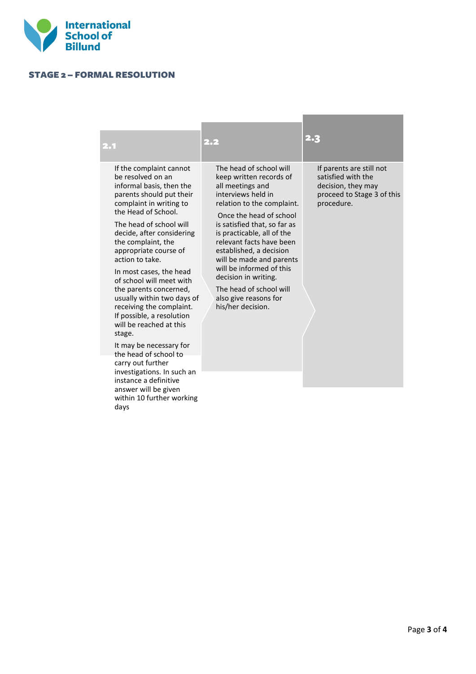

## STAGE 2 – FORMAL RESOLUTION

| 2.1                                                                                                                                                                                                                                                                                                                                                                                                                                                                                                                                                                                                                                                                                        | 2.2                                                                                                                                                                                                                                                                                                                                                                                                                                 | 2.3                                                                                                              |
|--------------------------------------------------------------------------------------------------------------------------------------------------------------------------------------------------------------------------------------------------------------------------------------------------------------------------------------------------------------------------------------------------------------------------------------------------------------------------------------------------------------------------------------------------------------------------------------------------------------------------------------------------------------------------------------------|-------------------------------------------------------------------------------------------------------------------------------------------------------------------------------------------------------------------------------------------------------------------------------------------------------------------------------------------------------------------------------------------------------------------------------------|------------------------------------------------------------------------------------------------------------------|
| If the complaint cannot<br>be resolved on an<br>informal basis, then the<br>parents should put their<br>complaint in writing to<br>the Head of School.<br>The head of school will<br>decide, after considering<br>the complaint, the<br>appropriate course of<br>action to take.<br>In most cases, the head<br>of school will meet with<br>the parents concerned,<br>usually within two days of<br>receiving the complaint.<br>If possible, a resolution<br>will be reached at this<br>stage.<br>It may be necessary for<br>the head of school to<br>carry out further<br>investigations. In such an<br>instance a definitive<br>answer will be given<br>within 10 further working<br>days | The head of school will<br>keep written records of<br>all meetings and<br>interviews held in<br>relation to the complaint.<br>Once the head of school<br>is satisfied that, so far as<br>is practicable, all of the<br>relevant facts have been<br>established, a decision<br>will be made and parents<br>will be informed of this<br>decision in writing.<br>The head of school will<br>also give reasons for<br>his/her decision. | If parents are still not<br>satisfied with the<br>decision, they may<br>proceed to Stage 3 of this<br>procedure. |